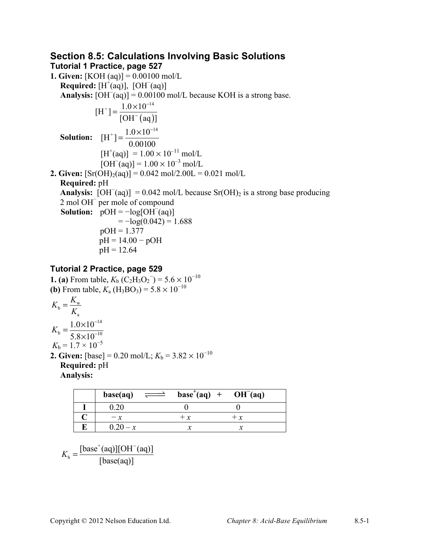## **Section 8.5: Calculations Involving Basic Solutions Tutorial 1 Practice, page 527**

**1. Given:** [KOH (aq)] = 0.00100 mol/L **Required:**  $[H^+(aq)]$ ,  $[OH^-(aq)]$ **Analysis:**  $[OH<sup>-</sup>(aq)] = 0.00100$  mol/L because KOH is a strong base.  $(aq)$  $[H^+] = \frac{1.0 \times 10^{-14}}{[OH^-(aq)]}$  $=\frac{1.0\times10^{-14}}{[OII^-(\infty)]}$ **Solution:**   $[H^+] = \frac{1.0 \times 10^{-14}}{0.00100}$  $[H^+(aq)] = 1.00 \times 10^{-11}$  mol/L  $[OH<sup>-</sup>(aq)] = 1.00 \times 10^{-3}$  mol/L **2. Given:**  $[Sr(OH)_2(aq)] = 0.042 \text{ mol}/2.00L = 0.021 \text{ mol/L}$ **Required:** pH **Analysis:**  $[OH^-(aq)] = 0.042 \text{ mol/L}$  because  $Sr(OH)_2$  is a strong base producing 2 mol OH<sup>−</sup> per mole of compound **Solution:**  $pOH = -log[OH](aq)$  $=-\log(0.042) = 1.688$  $pOH = 1.377$ pH = 14.00 − pOH  $pH = 12.64$ 

## **Tutorial 2 Practice, page 529**

**1. (a)** From table,  $K_b$  (C<sub>2</sub>H<sub>3</sub>O<sub>2</sub><sup>-</sup>) = 5.6 × 10<sup>-10</sup> **(b)** From table,  $K_a$  (H<sub>3</sub>BO<sub>3</sub>) = 5.8 × 10<sup>-10</sup>

$$
K_{b} = \frac{K_{w}}{K_{a}}
$$
  
\n
$$
K_{b} = \frac{1.0 \times 10^{-14}}{5.8 \times 10^{-10}}
$$
  
\n
$$
K_{b} = 1.7 \times 10^{-5}
$$
  
\n2. Given: [base] = 0.20 mol/L; k

 $X_b = 3.82 \times 10^{-10}$ **Required:** pH **Analysis:**

| base(aq) |       | $base^{\dagger}(aq) + OH^{\dagger}(aq)$ |  |
|----------|-------|-----------------------------------------|--|
|          |       |                                         |  |
|          | $+ x$ | $+ x$                                   |  |
|          |       |                                         |  |

$$
K_{b} = \frac{[\text{base}^{+}(aq)][OH^{-}(aq)]}{[\text{base}(aq)]}
$$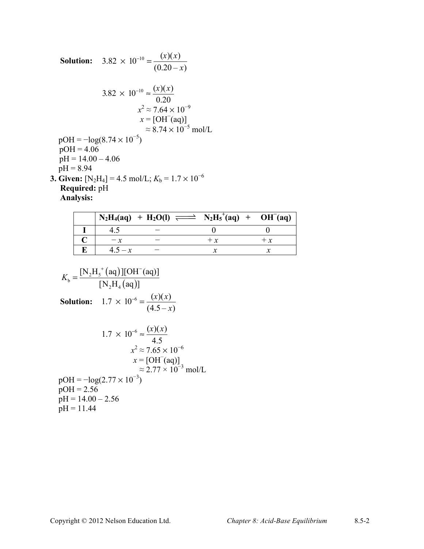Solution: 
$$
3.82 \times 10^{-10} = \frac{(x)(x)}{(0.20 - x)}
$$
  
\n $3.82 \times 10^{-10} \approx \frac{(x)(x)}{0.20}$   
\n $x^2 \approx 7.64 \times 10^{-9}$   
\n $x = [OH^-(aq)]$   
\n $pOH = -log(8.74 \times 10^{-5}) \approx 8.74 \times 10^{-5} \text{ mol/L}$   
\n $pOH = 4.06$   
\n $pH = 14.00 - 4.06$   
\n $pH = 8.94$   
\n3. Given: [N<sub>2</sub>H<sub>4</sub>] = 4.5 mol/L; K<sub>b</sub> = 1.7 × 10<sup>-6</sup>  
\nRequired: pH

**Analysis:**

|  | $N_2H_4(aq) + H_2O(l) \implies N_2H_5^+(aq) + OH^-(aq)$ |       |  |
|--|---------------------------------------------------------|-------|--|
|  |                                                         |       |  |
|  |                                                         | $+ x$ |  |
|  |                                                         |       |  |

$$
K_{b} = \frac{[N_{2}H_{5}^{+}(aq)][OH^{-}(aq)]}{[N_{2}H_{4}(aq)]}
$$
  
\nSolution: 1.7 × 10<sup>-6</sup> =  $\frac{(x)(x)}{(4.5-x)}$   
\n1.7 × 10<sup>-6</sup> =  $\frac{(x)(x)}{4.5}$   
\n $x^{2} \approx 7.65 \times 10^{-6}$   
\n $x = [OH^{-}(aq)]$   
\n $\approx 2.77 \times 10^{-3}$  mol/L  
\n $pOH = -log(2.77 \times 10^{-3})$   
\n $pOH = 2.56$   
\n $pH = 14.00 - 2.56$   
\n $pH = 11.44$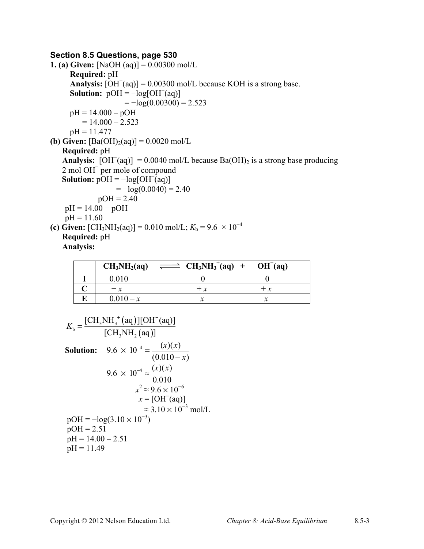## **Section 8.5 Questions, page 530**

```
1. (a) Given: [NaOH (aq)] = 0.00300 mol/L
      Required: pH
       Analysis: [OH^-(aq)] = 0.00300 mol/L because KOH is a strong base.
       Solution: pOH = -log[OH](aq)=-\log(0.00300) = 2.523pH = 14.000 - pOH= 14.000 - 2.523pH = 11.477(b) Given: [Ba(OH)<sub>2</sub>(aq)] = 0.0020 mol/L
    Required: pH
    Analysis: [OH^-(aq)] = 0.0040 mol/L because Ba(OH)_2 is a strong base producing
    2 mol OH<sup>−</sup> per mole of compound
Solution: pOH = -log[OH](aq)=-\log(0.0040) = 2.40pOH = 2.40pH = 14.00 − pOH
     pH = 11.60(c) Given: [CH_3NH_2(aq)] = 0.010 \text{ mol/L}; K_b = 9.6 \times 10^{-4}Required: pH
    Analysis:
```

| CH <sub>3</sub> NH <sub>2</sub> (aq) | $\rightleftharpoons$ CH <sub>3</sub> NH <sub>3</sub> <sup>+</sup> (aq) + OH <sup>-</sup> (aq) |    |
|--------------------------------------|-----------------------------------------------------------------------------------------------|----|
| 0.010                                |                                                                                               |    |
|                                      | $+ x$                                                                                         | +χ |
| $0.010 - x$                          |                                                                                               |    |

$$
K_{\text{b}} = \frac{[\text{CH}_{3}\text{NH}_{3}^{+}(aq)][\text{OH}^{-}(aq)]}{[\text{CH}_{3}\text{NH}_{2}(aq)]}
$$
  
\nSolution: 9.6 × 10<sup>-4</sup> =  $\frac{(x)(x)}{(0.010 - x)}$   
\n9.6 × 10<sup>-4</sup> ≈  $\frac{(x)(x)}{0.010}$   
\n $x^{2} \approx 9.6 \times 10^{-6}$   
\n $x = [\text{OH}^{-}(aq)]$   
\n $\approx 3.10 \times 10^{-3} \text{ mol/L}$   
\n $pOH = -\log(3.10 \times 10^{-3})$   
\n $pOH = 2.51$   
\n $pH = 14.00 - 2.51$   
\n $pH = 11.49$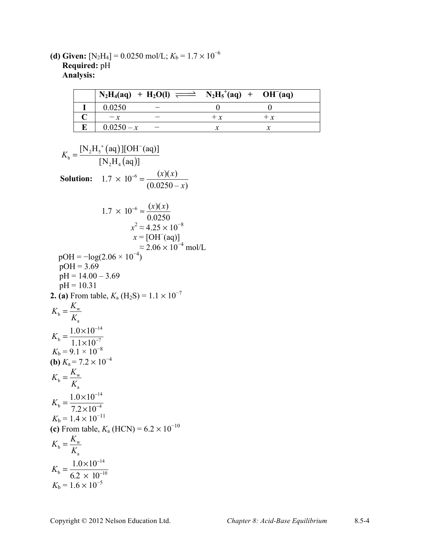**(d) Given:**  $[N_2H_4] = 0.0250 \text{ mol/L}$ ;  $K_b = 1.7 \times 10^{-6}$ **Required:** pH **Analysis:**

|              | $N_2H_4(aq) + H_2O(l) \implies N_2H_5^+(aq) + OH^-(aq)$ |      |       |
|--------------|---------------------------------------------------------|------|-------|
| 0.0250       |                                                         |      |       |
|              |                                                         | $+x$ | $+ x$ |
| $0.0250 - x$ |                                                         |      |       |

$$
K_{b} = \frac{[N_{2}H_{5}^{+}(aq)][OH^{-}(aq)]}{[N_{2}H_{4}(aq)]}
$$
  
\nSolution: 1.7 × 10<sup>-6</sup> =  $\frac{(x)(x)}{(0.0250 - x)}$   
\n1.7 × 10<sup>-6</sup> =  $\frac{(x)(x)}{0.0250}$   
\n $x^{2} \approx 4.25 \times 10^{-8}$   
\n $x = [OH^{-}(aq)]$   
\n $\approx 2.06 \times 10^{-4}$  mol/L  
\npOH = -log(2.06 × 10<sup>-4</sup>)  
\npOH = 3.69  
\n $pH = 14.00 - 3.69$   
\n $pH = 10.31$   
\n2. (a) From table,  $K_{a}$  (H<sub>2</sub>S) = 1.1 × 10<sup>-7</sup>  
\n $K_{b} = \frac{K_{w}}{K_{a}}$   
\n $K_{b} = \frac{1.0 \times 10^{-14}}{K_{a}}$   
\n $K_{b} = 9.1 \times 10^{-8}$   
\n(b)  $K_{a} = 7.2 \times 10^{-4}$   
\n $K_{b} = \frac{K_{w}}{K_{a}}$   
\n $K_{b} = \frac{1.0 \times 10^{-14}}{K_{a}}$   
\n $K_{b} = 1.4 \times 10^{-11}$   
\n(c) From table,  $K_{a}$  (HCN) = 6.2 × 10<sup>-10</sup>  
\n $K_{b} = \frac{K_{w}}{K_{a}}$   
\n $K_{b} = \frac{1.0 \times 10^{-14}}{K_{a}}$   
\n $K_{b} = \frac{1.0 \times 10^{-10}}{K_{a}}$   
\n $K_{b} = 1.6 \times 10^{-5}$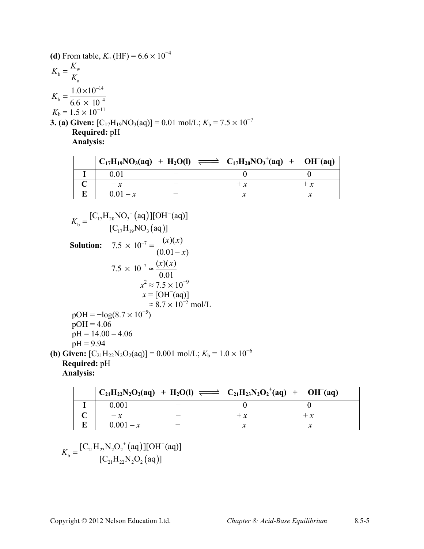(d) From table, 
$$
K_a
$$
 (HF) =  $6.6 \times 10^{-4}$   
\n
$$
K_b = \frac{K_w}{K_a}
$$
\n
$$
K_b = \frac{1.0 \times 10^{-14}}{6.6 \times 10^{-4}}
$$
\n
$$
K_b = 1.5 \times 10^{-11}
$$
\n3. (a) Given:  $[C_{17}H_{19}NO_3(aq)] = 0.01 \text{ mol/L}; K_b = 7.5 \times 10^{-7}$   
\nRequired: pH  
\nAnalysis:

|           | $C_{17}H_{19}NO_3(aq) + H_2O(l) \implies C_{17}H_{20}NO_3^+(aq) + OH^-(aq)$ |  |
|-----------|-----------------------------------------------------------------------------|--|
|           |                                                                             |  |
|           | + r                                                                         |  |
| $001 - x$ |                                                                             |  |

$$
K_{\rm b} = \frac{[C_{17}H_{20}NO_3^+(aq)][OH^-(aq)]}{[C_{17}H_{19}NO_3(aq)]}
$$
  
\nSolution:  $7.5 \times 10^{-7} = \frac{(x)(x)}{(0.01-x)}$   
\n $7.5 \times 10^{-7} \approx \frac{(x)(x)}{0.01}$   
\n $x^2 \approx 7.5 \times 10^{-9}$   
\n $x = [OH^-(aq)]$   
\n $\approx 8.7 \times 10^{-5}$  mol/L  
\n $pOH = -log(8.7 \times 10^{-5})$   
\n $pOH = 4.06$   
\n $pH = 14.00 - 4.06$   
\n $pH = 9.94$   
\n(b) Given:  $[C_{21}H_{22}N_2O_2(aq)] = 0.001$  mol/L;  $K_b = 1.0 \times 10^{-6}$   
\nRequired: pH

**Analysis:**

|             | $C_{21}H_{22}N_2O_2(aq) + H_2O(l) \implies C_{21}H_{23}N_2O_2^+(aq) + OH^-(aq)$ |  |
|-------------|---------------------------------------------------------------------------------|--|
| 0.001       |                                                                                 |  |
|             | $+ x$                                                                           |  |
| $0.001 - x$ |                                                                                 |  |

$$
K_{b} = \frac{[C_{21}H_{23}N_{2}O_{2}^{+}(aq)][OH^{-}(aq)]}{[C_{21}H_{22}N_{2}O_{2}(aq)]}
$$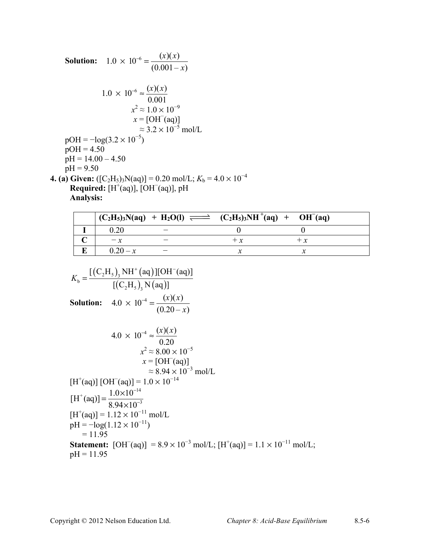Solution: 
$$
1.0 \times 10^{-6} = \frac{(x)(x)}{(0.001 - x)}
$$
  
\n $1.0 \times 10^{-6} \approx \frac{(x)(x)}{0.001}$   
\n $x^2 \approx 1.0 \times 10^{-9}$   
\n $x = [OH^-(aq)]$   
\n $\approx 3.2 \times 10^{-5}$  mol/L  
\n $pOH = -\log(3.2 \times 10^{-5})$   
\n $pOH = 4.50$   
\n $pH = 14.00 - 4.50$   
\n $pH = 9.50$   
\n4. (a) Given: ([C<sub>2</sub>H<sub>5</sub>)<sub>3</sub>N(aq)] = 0.20 mol/L; K<sub>b</sub> = 4.0 × 10<sup>-4</sup>  
\nRequired: [H<sup>+</sup>(aq)], [OH<sup>-</sup>(aq)], pH

**Analysis:**

|            | $(C_2H_5)_3N(aq) + H_2O(l) \implies (C_2H_5)_3NH^+(aq) + OH^-(aq)$ |       |
|------------|--------------------------------------------------------------------|-------|
| 0.20       |                                                                    |       |
| $-x$       | $+ x$                                                              | $+ x$ |
| $0.20 - x$ |                                                                    |       |

$$
K_{\text{b}} = \frac{[(C_2H_s)_3 \text{ NH}^+(\text{aq})][\text{OH}^-(\text{aq})]}{[(C_2H_s)_3 \text{ N}(\text{aq})]}
$$
  
\nSolution:  $4.0 \times 10^{-4} = \frac{(x)(x)}{(0.20 - x)}$   
\n $4.0 \times 10^{-4} \approx \frac{(x)(x)}{0.20}$   
\n $x^2 \approx 8.00 \times 10^{-5}$   
\n $x = [\text{OH}^-(\text{aq})]$   
\n $[H^+(\text{aq})][\text{OH}^-(\text{aq})] = 1.0 \times 10^{-14}$   
\n $[H^+(\text{aq})] = \frac{1.0 \times 10^{-14}}{8.94 \times 10^{-3}}$   
\n $[H^+(\text{aq})] = 1.12 \times 10^{-11} \text{ mol/L}$   
\n $\text{pH} = -\log(1.12 \times 10^{-11})$   
\n $= 11.95$   
\n**Statement:** [OH^-(\text{aq})] = 8.9 × 10<sup>-3</sup> mol/L; [H^+(\text{aq})] = 1.1 × 10<sup>-11</sup> mol/L;  
\n $\text{pH} = 11.95$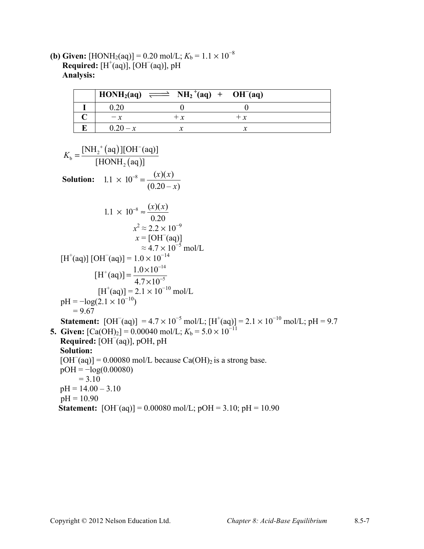**(b) Given:** [HONH<sub>2</sub>(aq)] = 0.20 mol/L;  $K_b = 1.1 \times 10^{-8}$ **Required:**  $[H^+(aq)]$ ,  $[OH^-(aq)]$ , pH **Analysis:**

|            | $HOMH_2(aq) \implies NH_2^+(aq) + OH^-(aq)$ |  |
|------------|---------------------------------------------|--|
|            |                                             |  |
|            |                                             |  |
| $0.20 - x$ |                                             |  |

$$
K_b = \frac{[NH_2^+(aq)][OH^-(aq)]}{[HONH_2(aq)]}
$$
  
\nSolution:  $1.1 \times 10^{-8} = \frac{(x)(x)}{(0.20 - x)}$   
\n $1.1 \times 10^{-8} \approx \frac{(x)(x)}{0.20}$   
\n $x^2 \approx 2.2 \times 10^{-9}$   
\n $x = [OH^-(aq)]$   
\n $1.1 \times 10^{-8} \approx 4.7 \times 10^{-5}$  mol/L  
\n $1.1 \times 10^{-5} \times 10^{-14}$   
\n $1.1 \times 10^{-5} \times 10^{-14}$   
\n $1.1 \times 10^{-5} \times 10^{-10}$   
\n $1.1 \times 10^{-5} \times 10^{-10}$   
\n $1.1 \times 10^{-5} \times 10^{-10}$   
\n $1.1 \times 10^{-5} \times 10^{-10}$   
\n $1.1 \times 10^{-5} \times 10^{-10}$   
\n $1.1 \times 10^{-5} \times 10^{-10}$   
\n $1.1 \times 10^{-5} \times 10^{-10}$   
\n $1.1 \times 10^{-5} \times 10^{-10}$   
\n $1.1 \times 10^{-5} \times 10^{-10}$   
\n $1.1 \times 10^{-5} \times 10^{-10}$   
\n $1.1 \times 10^{-5} \times 10^{-10}$   
\n $1.1 \times 10^{-10} \times 10^{-10}$   
\n $1.1 \times 10^{-10} \times 10^{-10}$   
\n $1.1 \times 10^{-10} \times 10^{-10}$   
\n $1.1 \times 10^{-10}$   
\n $1.1 \times 10^{-5} \times 10^{-10}$   
\n $1.1 \times 10^{-10}$   
\n $1.1 \times 10^{-10}$   
\n $1.1 \times 10^{-10}$   
\n $1.1 \times 10^{-10}$   
\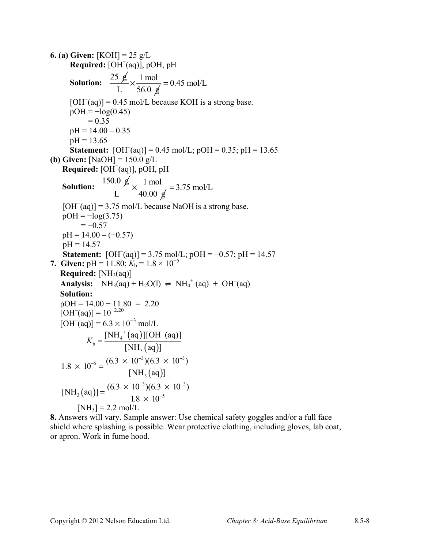**6. (a) Given:** [KOH] = 25 g/L **Required:** [OH<sup>−</sup> (aq)], pOH, pH **Solution:**  $\frac{25 \cancel{g}}{25 \times 1} \times \frac{1 \text{ mol}}{25 \times 1}$ L 56.0  $g$  $\times \frac{1 \text{ mol}}{56.0} = 0.45 \text{ mol/L}$  $[OH<sup>-</sup>(aq)] = 0.45$  mol/L because KOH is a strong base.  $pOH = -log(0.45)$  $= 0.35$  $pH = 14.00 - 0.35$  $pH = 13.65$ **Statement:** [OH<sup>-</sup>(aq)] = 0.45 mol/L; pOH = 0.35; pH = 13.65 **(b) Given:** [NaOH] = 150.0 g/L **Required:** [OH<sup>−</sup> (aq)], pOH, pH **Solution:**  $\frac{150.0 \cancel{g}}{2 \times 1000 \times 1000}$ L  $40.00 \text{ g}$  $\times \frac{1 \text{ mol}}{1000}$  = 3.75 mol/L  $[OH<sup>-</sup>(aq)] = 3.75$  mol/L because NaOH is a strong base.  $pOH = -log(3.75)$  $=-0.57$  $pH = 14.00 - (-0.57)$  $pH = 14.57$ **Statement:**  $[OH^-(aq)] = 3.75 \text{ mol/L}$ ;  $pOH = -0.57$ ;  $pH = 14.57$ **7. Given:**  $pH = 11.80$ ;  $K_b = 1.8 \times 10^{-5}$ **Required:**  $[NH_3(aq)]$ **Analysis:**  $NH_3(aq) + H_2O(l) \Rightarrow NH_4^+(aq) + OH^-(aq)$ **Solution:**   $pOH = 14.00 - 11.80 = 2.20$  $[OH^-(aq)] = 10^{-2.20}$  $[OH<sup>-</sup>(aq)] = 6.3 \times 10^{-3}$  mol/L  $K_{b} = \frac{[NH_{4}^{+}(aq)]}{I}$  $(aq)$ 4 b 3  $[NH_4^+(aq)][OH^-(aq)]$  $[NH, (aq)]$ *K*  $+$   $\frac{1}{2}$   $\sqrt{10}$ =  $1.8 \times 10^{-5} = \frac{(0.5 \times 10^{-1})(0.5)}{[NH_3(aq)]}$  $\frac{1}{2}$  (6.3 × 10<sup>-3</sup>)(6.3 × 10<sup>-3</sup>) 3  $(1.8 \times 10^{-5} = \frac{(6.3 \times 10^{-3})(6.3 \times 10^{-3})}{2.5 \times 10^{-3}})$  $[NH, (aq)]$  $\times$  10<sup>-5</sup> =  $\frac{(6.3 \times 10^{-3})(6.3 \times 10^{-3})}{5.3 \times 10^{13}}$  $[NH<sub>3</sub>(aq)$  $3\sqrt{6}$  2  $\times$  10<sup>-3</sup>  $[NH<sub>3</sub>(aq)] = \frac{(6.3 \times 10^{-3})(6.3 \times 10^{-3})}{1.8 \times 10^{-5}}$  $=\frac{(6.3\times10^{-3})(6.3\times10^{-5})}{1.8\times10^{-5}}$  $[NH_3] = 2.2$  mol/L

**8.** Answers will vary. Sample answer: Use chemical safety goggles and/or a full face shield where splashing is possible. Wear protective clothing, including gloves, lab coat, or apron. Work in fume hood.